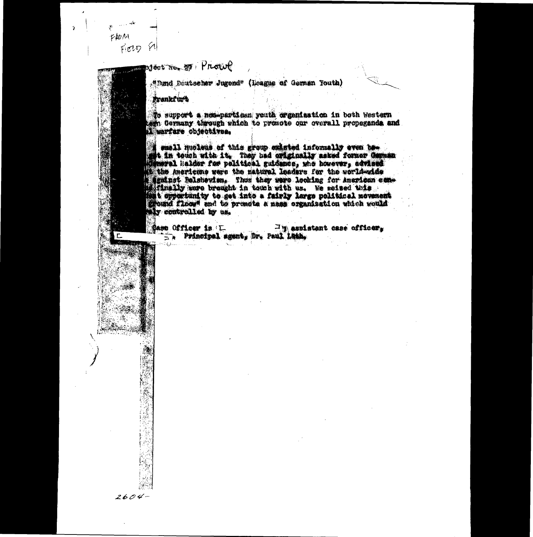FROM FIELD ET

 $2604-$ 

Prowe

. Thand Deutscher Jugend" (League of German Youth)

Prankfurt

To support a non-particen youth organization in both Western term dermany through which to presente our overall propagands and

s smell nucleus of this group existed informally even be-<br>set in touch with it. They had originally asked former Carman<br>solution halder for political guidance, who however, covined t the Americans were the matural leaders for the worldweide seminst Belsheviam. Thus they were looking for American comis a opportunity to get into a fairly large political neverant

Mass Officer is L. Hasside Br. 21 assides  $\Box$  assistant case officer.